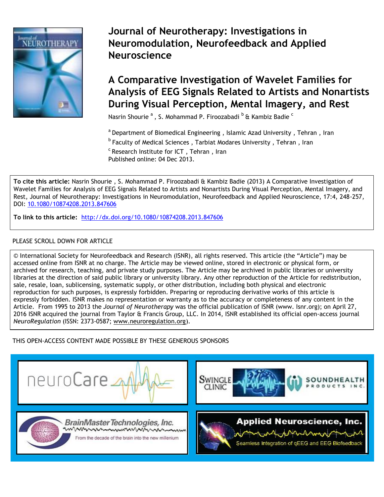

**Journal of Neurotherapy: Investigations in Neuromodulation, Neurofeedback and Applied Neuroscience** 

# **[A Comparative Investigati](http://www.tandfonline.com/loi/wneu20)on of Wavelet Families for Analysis of EEG Signals Related to Artists and Nonartists During Visual Perception, Mental Imagery, and Rest**

Nasrin Shourie <sup>a</sup> , S. Mohammad P. Firoozabadi <sup>b</sup> & Kambiz Badie <sup>c</sup>

<sup>a</sup> Department of Biomedical Engineering, Islamic Azad University, Tehran, Iran

 $<sup>b</sup>$  Faculty of Medical Sciences, Tarbiat Modares University, Tehran, Iran</sup>

 $c$  Research Institute for ICT, Tehran, Iran

Published online: 04 Dec 2013.

**To cite this article:** Nasrin Shourie , S. Mohammad P. Firoozabadi & Kambiz Badie (2013) A Comparative Investigation of Wavelet Families for Analysis of EEG Signals Related to Artists and Nonartists During Visual Perception, Mental Imagery, and Rest, Journal of Neurotherapy: Investigations in Neuromodulation, Neurofeedback and Applied Neuroscience, 17:4, 248-257, DOI: 10.1080/10874208.2013.847606

**To link to this article:** <http://dx.doi.org/10.1080/10874208.2013.847606>

# PLEASE SCROLL DOWN FOR ARTICLE

© International Society for Neurofeedback and Research (ISNR), all rights reserved. This article (the "Article") may be accessed online from ISNR at no charge. The Article may be viewed online, stored in electronic or physical form, or archived for research, teaching, and private study purposes. The Article may be archived in public libraries or university libraries at the direction of said public library or university library. Any other reproduction of the Article for redistribution, sale, resale, loan, sublicensing, systematic supply, or other distribution, including both physical and electronic reproduction for such purposes, is expressly forbidden. Preparing or reproducing derivative works of this article is expressly forbidden. ISNR makes no representation or warranty as to the accuracy or completeness of any content in the Article. From 1995 to 2013 the *Journal of Neurotherapy* was the official publication of ISNR (www. Isnr.org); on April 27, 2016 ISNR acquired the journal from Taylor & Francis Group, LLC. In 2014, ISNR established its official open-access journal *NeuroRegulation* (ISSN: 2373-0587; [www.neuroregulation.org\)](http://www.neuroregulation.org/).

THIS OPEN-ACCESS CONTENT MADE POSSIBLE BY THESE GENEROUS SPONSORS







BrainMasterTechnologies, Inc. mmmmmmmmmmmmm From the decade of the brain into the new millenium

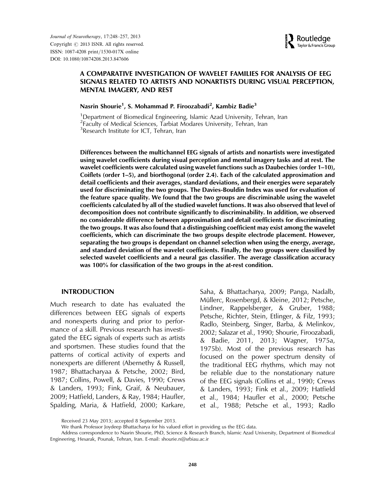

## A COMPARATIVE INVESTIGATION OF WAVELET FAMILIES FOR ANALYSIS OF EEG SIGNALS RELATED TO ARTISTS AND NONARTISTS DURING VISUAL PERCEPTION, MENTAL IMAGERY, AND REST

## Nasrin Shourie<sup>1</sup>, S. Mohammad P. Firoozabadi<sup>2</sup>, Kambiz Badie<sup>3</sup>

<sup>1</sup>Department of Biomedical Engineering, Islamic Azad University, Tehran, Iran <sup>2</sup> Faculty of Medical Sciences, Tarbiat Modares University, Tehran, Iran <sup>3</sup>Research Institute for ICT, Tehran, Iran

Differences between the multichannel EEG signals of artists and nonartists were investigated using wavelet coefficients during visual perception and mental imagery tasks and at rest. The wavelet coefficients were calculated using wavelet functions such as Daubechies (order 1–10), Coiflets (order 1–5), and biorthogonal (order 2.4). Each of the calculated approximation and detail coefficients and their averages, standard deviations, and their energies were separately used for discriminating the two groups. The Davies-Bouldin Index was used for evaluation of the feature space quality. We found that the two groups are discriminable using the wavelet coefficients calculated by all of the studied wavelet functions. It was also observed that level of decomposition does not contribute significantly to discriminability. In addition, we observed no considerable difference between approximation and detail coefficients for discriminating the two groups. It was also found that a distinguishing coefficient may exist among the wavelet coefficients, which can discriminate the two groups despite electrode placement. However, separating the two groups is dependant on channel selection when using the energy, average, and standard deviation of the wavelet coefficients. Finally, the two groups were classified by selected wavelet coefficients and a neural gas classifier. The average classification accuracy was 100*%* for classification of the two groups in the at-rest condition.

#### INTRODUCTION

Much research to date has evaluated the differences between EEG signals of experts and nonexperts during and prior to performance of a skill. Previous research has investigated the EEG signals of experts such as artists and sportsmen. These studies found that the patterns of cortical activity of experts and nonexperts are different (Abernethy & Russell, 1987; Bhattacharyaa & Petsche, 2002; Bird, 1987; Collins, Powell, & Davies, 1990; Crews & Landers, 1993; Fink, Graif, & Neubauer, 2009; Hatfield, Landers, & Ray, 1984; Haufler, Spalding, Maria, & Hatfield, 2000; Karkare, Saha, & Bhattacharya, 2009; Panga, Nadalb, Müllerc, Rosenbergd, & Kleine, 2012; Petsche, Lindner, Rappelsberger, & Gruber, 1988; Petsche, Richter, Stein, Etlinger, & Filz, 1993; Radlo, Steinberg, Singer, Barba, & Melinkov, 2002; Salazar et al., 1990; Shourie, Firoozabadi, & Badie, 2011, 2013; Wagner, 1975a, 1975b). Most of the previous research has focused on the power spectrum density of the traditional EEG rhythms, which may not be reliable due to the nonstationary nature of the EEG signals (Collins et al., 1990; Crews & Landers, 1993; Fink et al., 2009; Hatfield et al., 1984; Haufler et al., 2000; Petsche et al., 1988; Petsche et al., 1993; Radlo

Received 23 May 2013; accepted 8 September 2013.

We thank Professor Joydeep Bhattacharya for his valued effort in providing us the EEG data.

Address correspondence to Nasrin Shourie, PhD, Science & Research Branch, Islamic Azad University, Department of Biomedical Engineering, Hesarak, Pounak, Tehran, Iran. E-mail: shourie.n@srbiau.ac.ir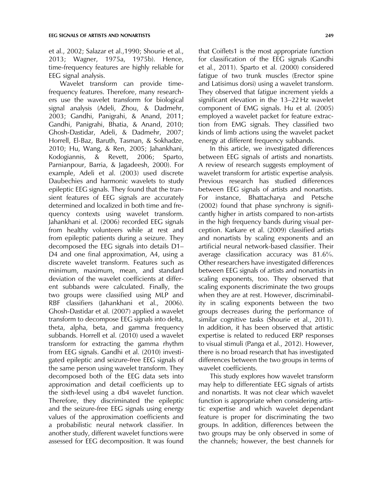et al., 2002; Salazar et al.,1990; Shourie et al., 2013; Wagner, 1975a, 1975b). Hence, time-frequency features are highly reliable for EEG signal analysis.

Wavelet transform can provide timefrequency features. Therefore, many researchers use the wavelet transform for biological signal analysis (Adeli, Zhou, & Dadmehr, 2003; Gandhi, Panigrahi, & Anand, 2011; Gandhi, Panigrahi, Bhatia, & Anand, 2010; Ghosh-Dastidar, Adeli, & Dadmehr, 2007; Horrell, El-Baz, Baruth, Tasman, & Sokhadze, 2010; Hu, Wang, & Ren, 2005; Jahankhani, Kodogiannis, & Revett, 2006; Sparto, Parnianpour, Barria, & Jagadeesh, 2000). For example, Adeli et al. (2003) used discrete Daubechies and harmonic wavelets to study epileptic EEG signals. They found that the transient features of EEG signals are accurately determined and localized in both time and frequency contexts using wavelet transform. Jahankhani et al. (2006) recorded EEG signals from healthy volunteers while at rest and from epileptic patients during a seizure. They decomposed the EEG signals into details D1– D4 and one final approximation, A4, using a discrete wavelet transform. Features such as minimum, maximum, mean, and standard deviation of the wavelet coefficients at different subbands were calculated. Finally, the two groups were classified using MLP and RBF classifiers (Jahankhani et al., 2006). Ghosh-Dastidar et al. (2007) applied a wavelet transform to decompose EEG signals into delta, theta, alpha, beta, and gamma frequency subbands. Horrell et al. (2010) used a wavelet transform for extracting the gamma rhythm from EEG signals. Gandhi et al. (2010) investigated epileptic and seizure-free EEG signals of the same person using wavelet transform. They decomposed both of the EEG data sets into approximation and detail coefficients up to the sixth-level using a db4 wavelet function. Therefore, they discriminated the epileptic and the seizure-free EEG signals using energy values of the approximation coefficients and a probabilistic neural network classifier. In another study, different wavelet functions were assessed for EEG decomposition. It was found

that Coiflets1 is the most appropriate function for classification of the EEG signals (Gandhi et al., 2011). Sparto et al. (2000) considered fatigue of two trunk muscles (Erector spine and Latisimus dorsi) using a wavelet transform. They observed that fatigue increment yields a significant elevation in the 13–22 Hz wavelet component of EMG signals. Hu et al. (2005) employed a wavelet packet for feature extraction from EMG signals. They classified two kinds of limb actions using the wavelet packet energy at different frequency subbands.

In this article, we investigated differences between EEG signals of artists and nonartists. A review of research suggests employment of wavelet transform for artistic expertise analysis. Previous research has studied differences between EEG signals of artists and nonartists. For instance, Bhattacharya and Petsche (2002) found that phase synchrony is significantly higher in artists compared to non-artists in the high frequency bands during visual perception. Karkare et al. (2009) classified artists and nonartists by scaling exponents and an artificial neural network-based classifier. Their average classification accuracy was 81.6%. Other researchers have investigated differences between EEG signals of artists and nonartists in scaling exponents, too. They observed that scaling exponents discriminate the two groups when they are at rest. However, discriminability in scaling exponents between the two groups decreases during the performance of similar cognitive tasks (Shourie et al., 2011). In addition, it has been observed that artistic expertise is related to reduced ERP responses to visual stimuli (Panga et al., 2012). However, there is no broad research that has investigated differences between the two groups in terms of wavelet coefficients.

This study explores how wavelet transform may help to differentiate EEG signals of artists and nonartists. It was not clear which wavelet function is appropriate when considering artistic expertise and which wavelet dependant feature is proper for discriminating the two groups. In addition, differences between the two groups may be only observed in some of the channels; however, the best channels for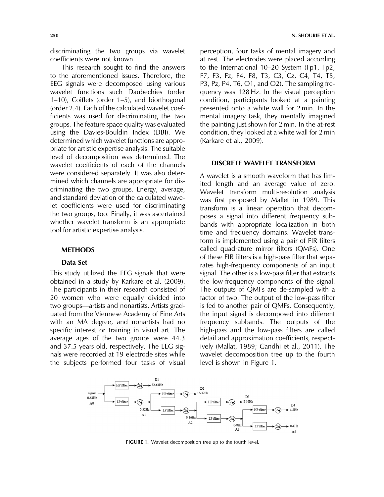discriminating the two groups via wavelet coefficients were not known.

This research sought to find the answers to the aforementioned issues. Therefore, the EEG signals were decomposed using various wavelet functions such Daubechies (order 1–10), Coiflets (order 1–5), and biorthogonal (order 2.4). Each of the calculated wavelet coefficients was used for discriminating the two groups. The feature space quality was evaluated using the Davies-Bouldin Index (DBI). We determined which wavelet functions are appropriate for artistic expertise analysis. The suitable level of decomposition was determined. The wavelet coefficients of each of the channels were considered separately. It was also determined which channels are appropriate for discriminating the two groups. Energy, average, and standard deviation of the calculated wavelet coefficients were used for discriminating the two groups, too. Finally, it was ascertained whether wavelet transform is an appropriate tool for artistic expertise analysis.

#### METHODS

#### Data Set

This study utilized the EEG signals that were obtained in a study by Karkare et al. (2009). The participants in their research consisted of 20 women who were equally divided into two groups—artists and nonartists. Artists graduated from the Viennese Academy of Fine Arts with an MA degree, and nonartists had no specific interest or training in visual art. The average ages of the two groups were 44.3 and 37.5 years old, respectively. The EEG signals were recorded at 19 electrode sites while the subjects performed four tasks of visual

perception, four tasks of mental imagery and at rest. The electrodes were placed according to the International 10–20 System (Fp1, Fp2, F7, F3, Fz, F4, F8, T3, C3, Cz, C4, T4, T5, P3, Pz, P4, T6, O1, and O2). The sampling frequency was 128 Hz. In the visual perception condition, participants looked at a painting presented onto a white wall for 2 min. In the mental imagery task, they mentally imagined the painting just shown for 2 min. In the at-rest condition, they looked at a white wall for 2 min (Karkare et al., 2009).

#### DISCRETE WAVELET TRANSFORM

A wavelet is a smooth waveform that has limited length and an average value of zero. Wavelet transform multi-resolution analysis was first proposed by Mallet in 1989. This transform is a linear operation that decomposes a signal into different frequency subbands with appropriate localization in both time and frequency domains. Wavelet transform is implemented using a pair of FIR filters called quadrature mirror filters (QMFs). One of these FIR filters is a high-pass filter that separates high-frequency components of an input signal. The other is a low-pass filter that extracts the low-frequency components of the signal. The outputs of QMFs are de-sampled with a factor of two. The output of the low-pass filter is fed to another pair of QMFs. Consequently, the input signal is decomposed into different frequency subbands. The outputs of the high-pass and the low-pass filters are called detail and approximation coefficients, respectively (Mallat, 1989; Gandhi et al., 2011). The wavelet decomposition tree up to the fourth level is shown in Figure 1.



FIGURE 1. Wavelet decomposition tree up to the fourth level.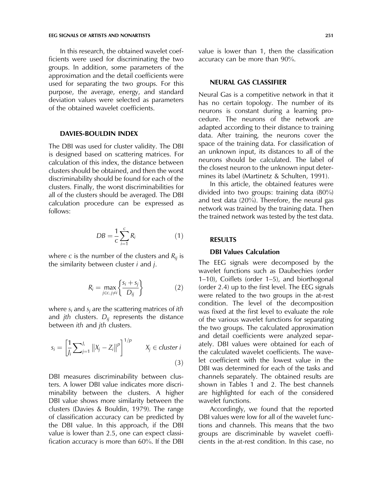In this research, the obtained wavelet coefficients were used for discriminating the two groups. In addition, some parameters of the approximation and the detail coefficients were used for separating the two groups. For this purpose, the average, energy, and standard deviation values were selected as parameters of the obtained wavelet coefficients.

#### DAVIES-BOULDIN INDEX

The DBI was used for cluster validity. The DBI is designed based on scattering matrices. For calculation of this index, the distance between clusters should be obtained, and then the worst discriminability should be found for each of the clusters. Finally, the worst discriminabilities for all of the clusters should be averaged. The DBI calculation procedure can be expressed as follows:

$$
DB = \frac{1}{c} \sum_{i=1}^{c} R_i \tag{1}
$$

where c is the number of the clusters and  $R_{ij}$  is the similarity between cluster  $i$  and  $j$ .

$$
R_i = \max_{j \in c, j \neq i} \left\{ \frac{s_i + s_j}{D_{ij}} \right\} \tag{2}
$$

where  $s_i$  and  $s_j$  are the scattering matrices of *ith* and jth clusters.  $D_{ij}$  represents the distance between *ith* and *jth* clusters.

$$
s_i = \left[\frac{1}{J_i} \sum_{j=1}^{J_i} ||X_j - Z_i||^p\right]^{1/p} \qquad X_j \in \text{cluster } i \tag{3}
$$

DBI measures discriminability between clusters. A lower DBI value indicates more discriminability between the clusters. A higher DBI value shows more similarity between the clusters (Davies & Bouldin, 1979). The range of classification accuracy can be predicted by the DBI value. In this approach, if the DBI value is lower than 2.5, one can expect classification accuracy is more than 60%. If the DBI

value is lower than 1, then the classification accuracy can be more than 90%.

#### NEURAL GAS CLASSIFIER

Neural Gas is a competitive network in that it has no certain topology. The number of its neurons is constant during a learning procedure. The neurons of the network are adapted according to their distance to training data. After training, the neurons cover the space of the training data. For classification of an unknown input, its distances to all of the neurons should be calculated. The label of the closest neuron to the unknown input determines its label (Martinetz & Schulten, 1991).

In this article, the obtained features were divided into two groups: training data (80%) and test data (20%). Therefore, the neural gas network was trained by the training data. Then the trained network was tested by the test data.

#### RESULTS

#### DBI Values Calculation

The EEG signals were decomposed by the wavelet functions such as Daubechies (order 1–10), Coiflets (order 1–5), and biorthogonal (order 2.4) up to the first level. The EEG signals were related to the two groups in the at-rest condition. The level of the decomposition was fixed at the first level to evaluate the role of the various wavelet functions for separating the two groups. The calculated approximation and detail coefficients were analyzed separately. DBI values were obtained for each of the calculated wavelet coefficients. The wavelet coefficient with the lowest value in the DBI was determined for each of the tasks and channels separately. The obtained results are shown in Tables 1 and 2. The best channels are highlighted for each of the considered wavelet functions.

Accordingly, we found that the reported DBI values were low for all of the wavelet functions and channels. This means that the two groups are discriminable by wavelet coefficients in the at-rest condition. In this case, no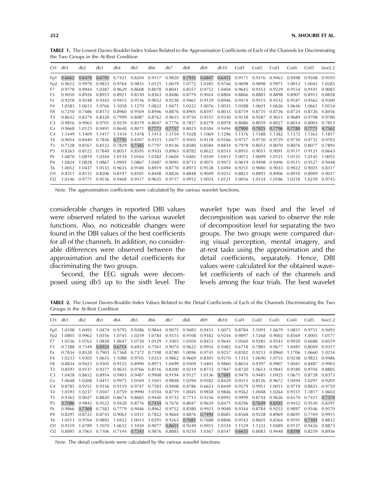TABLE 1. The Lowest Davies-Bouldin Index Values Related to the Approximation Coefficients of Each of the Channels for Discriminating the Two Groups in the At-Rest Condition

| $CH$ db1        |               | db2    | db3    | db4                  | db5                  | db6                         | db7           | db8                                       | db9           | db10                 | Coif1  | Coif <sub>2</sub>    | Coif3  | Coif4         | Coif5     | bior <sub>2.2</sub> |
|-----------------|---------------|--------|--------|----------------------|----------------------|-----------------------------|---------------|-------------------------------------------|---------------|----------------------|--------|----------------------|--------|---------------|-----------|---------------------|
| Fp1             | 0.6662        | 0.6478 | 0.6795 |                      |                      | 0.7421 0.8204 0.9117 0.9820 |               | 0.7935                                    | 0.6847        | 0.6415               |        | 0.9171 0.9376 0.9463 |        | 0.9498 0.9508 |           | 0.9593              |
| Fn <sub>2</sub> | 0.9612        | 0.9978 | 0.9833 |                      | 0.9764 0.9835 1.0121 |                             |               | 1.0619 1.0772 1.0285                      |               | 0.9766 0.9698        |        | 0.9898               | 0.9971 | 1.0012        | 1.0042    | 1.0285              |
| F7              | 0.9778 0.9944 |        | 1.0387 | 0.9629               | 0.8608               |                             | 0.8078 0.8041 | 0.8557                                    | 0.9752        | 1.0404               | 0.9645 | 0.9353               | 0.9229 | 0.9154        | 0.9101    | 0.9083              |
| F3              | 0.9050        | 0.8926 | 0.8953 | 0.8921               | 0.8550               | 0.8363                      | 0.8486        | 0.8779                                    | 0.9024        | 0.8804               | 0.8866 | 0.8881               | 0.8898 | 0.8907        | 0.8912    | 0.8858              |
| Fz.             | 0.9218        | 0.9248 | 0.9342 | 0.9415               | 0.9136               | 0.9052                      | 0.9238        | 0.9461                                    | 0.9129        | 0.8946 0.9474        |        | 0.9515               | 0.9532 | 0.9547        | 0.9562    | 0.9300              |
| F4              | 1.0583        | 1.0615 | 1.0766 | 1.1058               | 1.1270               | 1.0822 1.0471               |               | 1.0222 1.0076                             |               | 1.0035               | 1.0588 | 1.0601               | 1.0626 | 1.0646        | 1.0661    | 1.0554              |
| F8              | 0.7210        | 0.7486 | 0.8173 | 0.8960               | 0.9169               |                             |               | 0.8946 0.8876 0.8905 0.8597               |               | 0.8033               | 0.8759 | 0.8735               | 0.8726 | 0.8724        | 0.8726    | 0.8456              |
| T3              | 0.8632        | 0.8274 | 0.8320 | 0.7999               | 0.8087               | 0.8762                      | 0.9615        | 0.9750                                    | 0.9551        | 0.9330               | 0.9538 | 0.9587               | 0.9651 | 0.9689        | 0.9708    | 0.9780              |
| $C_3$           | 0.9816        | 0.9963 | 0.9701 | 0.9239               | 0.8579               | 0.8047                      | 0.7776        | 0.7857 0.8279                             |               | 0.8978               | 0.8086 | 0.8039               | 0.8027 | 0.8014        | 0.8003    | 0.7853              |
| Cz.             | 0.9668        | 1.0123 | 0.9491 |                      | 0.8648 0.8071        |                             | 0.7773 0.7757 |                                           |               | 0.8023 0.8584 0.9494 | 0.7900 | 0.7825               | 0.7796 | 0.7780        | 0.7771    | 0.7562              |
| C <sub>4</sub>  | 1 1449        | 1.1409 | 1.1417 | 1.1434               | 1.1478               |                             |               | 1.1413 1.1154 1.1028 1.1069               |               | 1.1296 1.1376        |        | 1.1388               | 1.1382 | 1 1 3 7 2     | 1.1363    | 1.1817              |
| T <sub>4</sub>  | 0.9054        | 0.8440 | 0.7836 | 0.7795               | 0.8307               | 0.9333                      | 1.0477        |                                           | 0.9503 0.9118 | 0.9166 0.9727        |        | 0.9730               | 0.9729 | 0.9730        | 0.9732    | 0.9703              |
| T5              | 0.7528        | 0.8167 | 0.8122 | 0.7829               | 0.7585               |                             |               | 0.7797 0.8536 0.8580 0.8584               |               | 0.8834 0.7978        |        | 0.8052               | 0.8070 | 0.8076        | 0.8077    | 0.7895              |
| P <sub>3</sub>  | 0.8263        | 0.8122 | 0.7840 | 0.8051               | 0.8595               | 0.9103                      | 0.8963        |                                           | 0.8782 0.8622 | 0.8513               | 0.8935 | 0.9051               | 0.9091 | 0.9111        | 0.9121    | 0.8643              |
| Pz.             | 1.0870        | 1.0819 | 1.0344 | 1.0134               | 1.0164               | 1.0382                      | 1.0604        | 1.0485                                    | 1.0549        | 1.0413               | 1.0072 | 1.0099               | 1.0121 | 1 0 1 3 5     | 1 0 1 4 5 | 1.0055              |
| P <sub>4</sub>  | 1.0824        | 1.0828 | 1.0867 | 1 0905               | 1.0867               | 1.0487                      | 0.9095        | 0.8713                                    | 0.9075        | 0.9972               | 0.9619 | 0.9498               | 0.9496 | 0.9511        | 0.9527    | 0.9448              |
| T6              | 1 0052        | 1 0437 | 1.0533 | 0.9635               | 0.9180               |                             | 0.8919 0.8770 | 0.8973                                    | 0.9538        | 1.0494               | 0.9251 | 0.9080               | 0.9033 | 0.9022        | 0.9025    | 0.8317              |
| O1              | 0.8311        | 0.8132 | 0.8206 | 0.8197               | 0.8101               |                             | 0.8408 0.8826 | 0.8848                                    | 0.9049        | 0.9255               | 0.8823 | 0.8891               | 0.8906 | 0.8910        | 0.8909    | 0.9037              |
| O <sub>2</sub>  | 1.0146        | 0.9771 |        | 0.9536 0.9468 0.9517 |                      |                             |               | 0.9635 0.9717 0.9912 1.0024 1.0121 1.0056 |               |                      |        | 1.0134               | 1.0186 | 1.0218        | 1.0239    | 0.9743              |

Note. The approximation coefficients were calculated by the various wavelet functions.

considerable changes in reported DBI values were observed related to the various wavelet functions. Also, no noticeable changes were found in the DBI values of the best coefficients for all of the channels. In addition, no considerable differences were observed between the approximation and the detail coefficients for discriminating the two groups.

Second, the EEG signals were decomposed using db5 up to the sixth level. The

wavelet type was fixed and the level of decomposition was varied to observe the role of decomposition level for separating the two groups. The two groups were compared during visual perception, mental imagery, and at-rest tasks using the approximation and the detail coefficients, separately. Hence, DBI values were calculated for the obtained wavelet coefficients of each of the channels and levels among the four trials. The best wavelet

TABLE 2. The Lowest Davies-Bouldin Index Values Related to the Detail Coefficients of Each of the Channels Discriminating the Two Groups in the At-Rest Condition

| $CH$ db1       |               | db2                                                                                            | db3    | db4           | db5                         | db6    | db7           | db8                                              | db9.          | db10                                                                         | Coif1  | Coif <sub>2</sub>           | Coif <sub>3</sub> | Coif4         | Coif5  | bior <sub>2.2</sub> |
|----------------|---------------|------------------------------------------------------------------------------------------------|--------|---------------|-----------------------------|--------|---------------|--------------------------------------------------|---------------|------------------------------------------------------------------------------|--------|-----------------------------|-------------------|---------------|--------|---------------------|
| Fn1.           | 1.0108 1.0493 |                                                                                                |        |               |                             |        |               |                                                  |               | 1.0474 0.9795 0.9286 0.9844 0.9075 0.9483 0.9451 1.0073 0.8784 1.1091 1.0679 |        |                             |                   | 1.0851        | 0.9751 | 0.9493              |
| FD2            | 1.0805 0.9962 |                                                                                                |        |               |                             |        |               | 1.0316 1.0745 1.0259 1.0784 0.9315 0.9108 0.9182 |               | 0.9244 0.9897                                                                |        | 1.1268 0.9002               |                   | 0.8569        | 1.0005 | 1.0177              |
| F7             | 1.0536 1.0763 |                                                                                                | 1.0838 | 1.0647        | 1.0730                      |        |               |                                                  |               | 1.0129 1.1003 1.0104 0.8453 0.9645 1.0560 0.9285 0.9543                      |        |                             |                   | 0.9920        | 0.6688 | 0.8519              |
| F3             | 0.7288        | 0.7549                                                                                         | 0.6924 | 0.6714        | 0.6923                      |        |               |                                                  |               | 0.7561 0.9074 0.9622 0.9954 0.9482 0.6718                                    |        | 0.7885 0.9677               |                   | 1.0481        | 0.8049 | 0.9317              |
| Fz.            | 0.7834        | 0.8528                                                                                         | 0.7903 |               |                             |        |               | 0.7368 0.7372 0.7398 0.8780 1.0096 0.9745        |               |                                                                              |        | 0.9257 0.8182 0.9233 0.8960 |                   | 1.1706        | 1.0660 | 1.0234              |
| F4             | 1.0233        | 1.0303                                                                                         | 1.0655 |               |                             |        |               | 1.1088 0.9705 1.0353 0.9862 0.9669 0.8301        |               |                                                                              |        | 0.9370 1.1333 1.0690 1.0755 |                   | 0.9238 0.9823 |        | 0.9486              |
| F8             | 0.8834        | 0.9423                                                                                         | 0.9305 | 0.9125        | 0.8990                      |        |               | 0.8973 1.0499 0.9309 1.0401                      |               |                                                                              |        | 0.9860 0.8654 0.9397 0.9907 |                   | 1.0041        | 0.8487 | 0.9903              |
| T <sub>3</sub> | 0.8593        | 0.9137                                                                                         | 0.9277 | 0.9635        | 0.9766                      |        |               | 0.8116 0.8200 0.9219 0.8733                      |               | 0.7847                                                                       | 0.8720 | 1.0653                      | 0.9845            | 0.9180        | 0.9704 | 0.8805              |
| C <sub>3</sub> | 1.0428        | 0.8652                                                                                         | 0.8954 | 0.9403 0.9487 |                             |        |               | 0.9908 0.9194 0.9127 1.0136                      |               | 0.7681                                                                       |        | 0.9470 0.9485               | 1.0925            | 1.0671        | 0.8728 | 0.8373              |
| Cz.            | 1.0648        | 1.0208                                                                                         | 1 0411 |               |                             |        |               | 0.9975 1.0169 1.1041 0.9848 1.0294 0.9582        |               |                                                                              |        | 0.8429 0.9515 0.8126 0.9672 |                   | 1 0494 1 0297 |        | 0.9201              |
| C <sub>4</sub> | 0.8785        | 0.9251                                                                                         |        |               | 0.9336 0.9159 0.9747        |        |               | 0.7583 0.9408 0.8786 0.6653                      |               | 0.8449 0.9579                                                                |        | 0.9951                      | 1.0011            | 0.9719        | 0.8825 | 0.9750              |
| T4             | 1.0593        | 1.0237                                                                                         | 1.0507 |               | 1.0759 0.9990               |        |               | 1.0104 0.8719 1.0045 0.9858                      |               | 0.9846 0.9562                                                                |        | 1.0048                      | 1.0264            | 0.9351        | 1.1817 | 1.0602              |
| T5             | 0.9362        | 0.9027                                                                                         | 0.8820 |               | 0.8674 0.8685               |        |               | 0.9440 0.9732 0.7715 0.9256                      |               | 0.8992 0.9999                                                                |        | 0.8744                      | 0.9626            | 0.6570 0.7421 |        | 0.7374              |
| P <sub>3</sub> | 0.7086        | 0.9842                                                                                         | 0.9522 |               | 0.9428 0.8776               |        |               | 0.7434 0.7676 0.8047 0.9639                      |               | 0.8471 0.8296                                                                |        | 0.7649                      | 0.6935            | 0.9452 0.9530 |        | 0.8391              |
| Pz.            | 0.9866        | 0.7369                                                                                         | 0.7382 |               |                             |        |               | 0.7779 0.9446 0.8962 0.9752 0.8380 0.9923        |               | 0.9048 0.9344                                                                |        | 0.8784                      | 0.9253            | 0.9897        | 0.9346 | 0.9570              |
| P4             | 0.8291        | 0.8722                                                                                         | 0.8743 |               | 0.9062 1.0351               |        | 0.7822 0.9664 | 0.8876 0.7494                                    |               | 0.8685                                                                       | 0.8568 | 0.9228                      | 0.8969            | 0.8691        | 0.7769 | 0.9915              |
| T6             | 1 0 5 1 3     | 0.9764                                                                                         | 0.9892 |               | 1.0452 1.0013               | 1.0291 | 0.9263        | 0.7681                                           | 0.7688        | 0.8806 0.9142                                                                |        | 0.8605 0.8364               |                   | 0.9591        | 0.7301 | 0.8832              |
| $\Omega$ 1     | 0.9519        | 1.0789                                                                                         |        |               | 1.1070 1.0632 1.1030 0.9077 |        | 0.8651        |                                                  | 0.9249 0.9951 | 1.0334 1.1129                                                                |        | 1.1322 1.0489               |                   | 0.9137        | 0.9426 | 0.8873              |
|                |               | 0.2 0.8895 0.7063 0.7106 0.7144 0.7243 0.9876 0.8885 0.9250 1.0367 0.8547 0.6655 0.8083 0.9448 |        |               |                             |        |               |                                                  |               |                                                                              |        |                             |                   | 0.8398 0.8259 |        | 0.8936              |

Note. The detail coefficients were calculated by the various wavelet functions.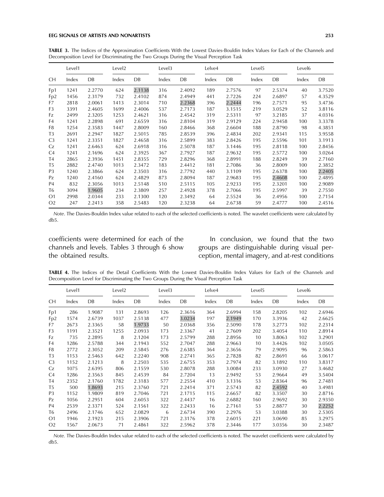#### EEG SIGNALS OF ARTISTS AND NONARTISTS 253

|                 | Level1 |        | Level <sub>2</sub> |        |       |        | Lelve4 |        | Level <sub>5</sub> |        | Level <sub>6</sub> |        |
|-----------------|--------|--------|--------------------|--------|-------|--------|--------|--------|--------------------|--------|--------------------|--------|
| CН              | Index  | DB     | Index              | DB     | Index | DB     | Index  | DB     | Index              | DB     | Index              | DB     |
| Fp1             | 1241   | 2.2770 | 624                | 2.1138 | 316   | 2.4092 | 189    | 2.7576 | 97                 | 2.5374 | 40                 | 3.7520 |
| Fp <sub>2</sub> | 1456   | 2.3179 | 732                | 2.4102 | 874   | 2.4949 | 441    | 2.7226 | 224                | 2.6897 | 57                 | 4.3529 |
| F7              | 2818   | 2.0061 | 1413               | 2.3014 | 710   | 2.2368 | 396    | 2.2444 | 196                | 2.7571 | 95                 | 3.4736 |
| F <sub>3</sub>  | 3391   | 2.4605 | 1699               | 2.4006 | 537   | 2.7173 | 187    | 3.1515 | 219                | 3.0529 | 52                 | 3.8116 |
| Fz              | 2499   | 2.3205 | 1253               | 2.4621 | 316   | 2.4542 | 319    | 2.5311 | 97                 | 3.2185 | 37                 | 4.0316 |
| F4              | 1241   | 2.2898 | 691                | 2.6559 | 316   | 2.8104 | 319    | 2.9129 | 224                | 2.9458 | 100                | 3.3378 |
| F8              | 1254   | 2.3583 | 1447               | 2.8009 | 160   | 2.8466 | 368    | 2.6604 | 188                | 2.8790 | 98                 | 4.3851 |
| T <sub>3</sub>  | 2691   | 2.2947 | 1827               | 2.5015 | 785   | 2.8539 | 396    | 2.4834 | 202                | 2.9341 | 115                | 3.9558 |
| C <sub>3</sub>  | 1241   | 2.3351 | 1827               | 2.4658 | 316   | 2.5899 | 383    | 2.8426 | 195                | 2.5596 | 101                | 3.1913 |
| Cz              | 1241   | 2.6463 | 624                | 2.6918 | 316   | 2.5078 | 187    | 3.1446 | 195                | 2.8118 | 100                | 2.8456 |
| C4              | 1241   | 2.1696 | 624                | 2.3925 | 367   | 2.7927 | 187    | 2.9632 | 195                | 2.5772 | 100                | 3.0264 |
| T4              | 2865   | 2.3936 | 1451               | 2.8355 | 729   | 2.8296 | 368    | 2.8991 | 188                | 2.8249 | 39                 | 2.7160 |
| T5              | 2882   | 2.4740 | 1013               | 2.3472 | 183   | 2.4412 | 181    | 2.7086 | 36                 | 2.8009 | 100                | 2.3852 |
| P <sub>3</sub>  | 1240   | 2.3866 | 624                | 2.3503 | 316   | 2.7792 | 440    | 3.1109 | 195                | 2.6378 | 100                | 2.2405 |
| Pz              | 1240   | 2.4160 | 624                | 2.4829 | 873   | 2.8094 | 187    | 2.9683 | 195                | 2.4608 | 100                | 2.4895 |
| P4              | 832    | 2.3056 | 1013               | 2.5148 | 510   | 2.5115 | 105    | 2.9233 | 195                | 2.3201 | 100                | 2.9089 |
| T6              | 3094   | 1.9605 | 234                | 2.3809 | 257   | 2.4928 | 378    | 2.7066 | 195                | 2.5997 | 39                 | 2.7550 |
| O <sub>1</sub>  | 2998   | 2.0344 | 233                | 2.1300 | 120   | 2.3492 | 64     | 2.5524 | 36                 | 2.4956 | 100                | 2.7154 |
| O <sub>2</sub>  | 247    | 2.2413 | 358                | 2.5483 | 120   | 2.3238 | 64     | 2.6738 | 59                 | 2.4777 | 100                | 2.4516 |

TABLE 3. The Indices of the Approximation Coefficients With the Lowest Davies-Bouldin Index Values for Each of the Channels and Decomposition Level for Discriminating the Two Groups During the Visual Perception Task

Note. The Davies-Bouldin Index value related to each of the selected coefficients is noted. The wavelet coefficients were calculated by db5.

coefficients were determined for each of the channels and levels. Tables 3 through 6 show the obtained results.

In conclusion, we found that the two groups are distinguishable during visual perception, mental imagery, and at-rest conditions

TABLE 4. The Indices of the Detail Coefficients With the Lowest Davies-Bouldin Index Values for Each of the Channels and Decomposition Level for Discriminating the Two Groups During the Visual Perception Task

|                 | Level1 |        |       | Level <sub>2</sub> |       |        | Lelve4 |        |       | Level <sub>5</sub> |       | Level <sub>6</sub> |  |
|-----------------|--------|--------|-------|--------------------|-------|--------|--------|--------|-------|--------------------|-------|--------------------|--|
| CН              | Index  | DB     | Index | DB                 | Index | DB     | Index  | DB     | Index | DB                 | Index | DB                 |  |
| Fp1             | 286    | 1.9087 | 131   | 2.8693             | 126   | 2.3616 | 364    | 2.6994 | 158   | 2.8205             | 102   | 2.6946             |  |
| Fp <sub>2</sub> | 1574   | 2.6739 | 1037  | 2.5138             | 477   | 3.0234 | 197    | 2.1949 | 170   | 3.3936             | 42    | 2.6625             |  |
| F7              | 2673   | 2.3365 | 58    | 1.9733             | 50    | 2.0368 | 356    | 2.5090 | 178   | 3.2773             | 102   | 2.2314             |  |
| F <sub>3</sub>  | 1191   | 2.3521 | 1255  | 2.0933             | 173   | 2.3367 | 41     | 2.7609 | 202   | 3.4054             | 110   | 2.8914             |  |
| Fz              | 735    | 2.2895 | 8     | 2.1204             | 173   | 2.5799 | 288    | 2.8956 | 10    | 3.8063             | 102   | 3.2901             |  |
| F4              | 1286   | 2.5788 | 344   | 2.1943             | 552   | 2.7047 | 288    | 2.9663 | 10    | 3.4426             | 102   | 3.0505             |  |
| F8              | 2772   | 2.3052 | 209   | 2.5845             | 276   | 2.6385 | 364    | 2.3656 | 79    | 2.9095             | 96    | 2.5863             |  |
| T <sub>3</sub>  | 1153   | 2.5463 | 642   | 2.2240             | 908   | 2.2741 | 365    | 2.7828 | 82    | 2.8691             | 66    | 3.0617             |  |
| C <sub>3</sub>  | 1152   | 2.1213 | 8     | 2.2503             | 535   | 2.6755 | 353    | 2.7974 | 82    | 3.1892             | 110   | 3.8317             |  |
| Cz              | 1075   | 2.6395 | 806   | 2.1559             | 530   | 2.8078 | 288    | 3.0084 | 233   | 3.0930             | 27    | 3.4682             |  |
| C4              | 1286   | 2.3563 | 845   | 2.4539             | 84    | 2.7204 | 13     | 2.9492 | 53    | 2.9664             | 49    | 3.5404             |  |
| T4              | 2352   | 2.1760 | 1782  | 2.3183             | 577   | 2.2554 | 410    | 3.1316 | 53    | 2.8364             | 96    | 2.7481             |  |
| T <sub>5</sub>  | 500    | 1.8693 | 215   | 2.3760             | 721   | 2.2414 | 371    | 2.5743 | 82    | 2.4592             | 40    | 3.4981             |  |
| P <sub>3</sub>  | 1152   | 1.9809 | 819   | 2.7046             | 721   | 2.1715 | 115    | 2.6657 | 82    | 3.3507             | 30    | 2.8716             |  |
| Pz              | 1056   | 2.2951 | 604   | 2.6053             | 322   | 2.4437 | 16     | 2.6882 | 160   | 2.9692             | 30    | 2.9350             |  |
| P4              | 2539   | 2.3371 | 524   | 2.1561             | 322   | 2.2433 | 16     | 2.7161 | 53    | 2.8877             | 30    | 2.2252             |  |
| T6              | 2496   | 2.1746 | 652   | 2.0829             | 6     | 2.6734 | 390    | 2.2976 | 53    | 3.0388             | 30    | 2.5305             |  |
| O <sub>1</sub>  | 1946   | 2.1923 | 215   | 2.3906             | 721   | 2.3176 | 378    | 2.6015 | 221   | 3.0690             | 85    | 3.2975             |  |
| O <sub>2</sub>  | 1567   | 2.0673 | 71    | 2.4861             | 322   | 2.5962 | 378    | 2.3446 | 177   | 3.0356             | 30    | 2.3487             |  |

Note. The Davies-Bouldin Index value related to each of the selected coefficients is noted. The wavelet coefficients were calculated by db5.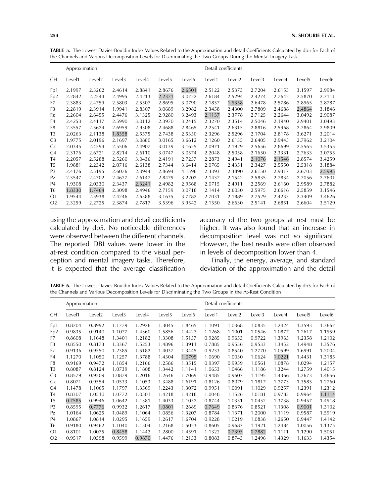|                 | Approximation |                    |        |        |                    |                    | Detail coefficients |                    |        |        |                    |                    |  |  |
|-----------------|---------------|--------------------|--------|--------|--------------------|--------------------|---------------------|--------------------|--------|--------|--------------------|--------------------|--|--|
| CH              | Level1        | Level <sub>2</sub> | Level3 | Level4 | Level <sub>5</sub> | Level <sub>6</sub> | Level1              | Level <sub>2</sub> | Level3 | Level4 | Level <sub>5</sub> | Level <sub>6</sub> |  |  |
| Fp1             | 2.1997        | 2.3262             | 2.4614 | 2.8841 | 2.8676             | 2.6501             | 2.5122              | 2.5373             | 2.7204 | 2.6153 | 3.1597             | 2.9984             |  |  |
| Fp <sub>2</sub> | 2.2842        | 2.2544             | 2.4995 | 2.4213 | 2.2371             | 3.0722             | 2.6184              | 2.5294             | 2.4274 | 2.7642 | 2.5870             | 2.7111             |  |  |
| F7              | 2.3883        | 2.4759             | 2.5803 | 2.5507 | 2.8695             | 3.0790             | 2.1857              | 1.9358             | 2.6478 | 2.5786 | 2.8965             | 2.8787             |  |  |
| F <sub>3</sub>  | 2.2819        | 2.3914             | 1.9941 | 2.8307 | 3.0689             | 3.2982             | 2.3458              | 2.4300             | 2.7809 | 2.4688 | 2.4864             | 3.1846             |  |  |
| Fz              | 2.2604        | 2.6455             | 2.4476 | 3.1325 | 2.9280             | 3.2493             | 2.1137              | 2.3778             | 2.7125 | 2.2644 | 3.0492             | 2.9087             |  |  |
| F4              | 2.4253        | 2.4117             | 2.5990 | 3.0112 | 2.3970             | 3.2415             | 2.3270              | 2.3514             | 2.5046 | 2.1940 | 2.9401             | 3.0493             |  |  |
| F8              | 2.3557        | 2.5624             | 2.6959 | 2.9308 | 2.4688             | 2.8465             | 2.2541              | 2.6315             | 2.8816 | 2.5968 | 2.7864             | 2.9809             |  |  |
| T <sub>3</sub>  | 2.0263        | 2.1138             | 1.8358 | 2.5575 | 2.7438             | 2.5350             | 2.3296              | 2.5296             | 2.1704 | 2.8178 | 3.6271             | 3.2014             |  |  |
| C <sub>3</sub>  | 1.9775        | 2.0196             | 2.1697 | 3.0880 | 3.0165             | 3.6612             | 2.1260              | 2.6135             | 2.6405 | 2.9445 | 2.7962             | 3.2104             |  |  |
| Cz              | 2.0345        | 2.4594             | 2.5506 | 2.4907 | 3.0139             | 3.1625             | 2.0971              | 2.1929             | 2.5656 | 2.8699 | 2.5565             | 3.5355             |  |  |
| C4              | 2.3176        | 2.6721             | 2.8214 | 2.6110 | 3.0747             | 3.0574             | 2.2048              | 2.5058             | 2.1650 | 2.3331 | 2.7633             | 3.0755             |  |  |
| T4              | 2.2057        | 2.5288             | 2.5260 | 3.0436 | 2.4191             | 2.7257             | 2.2873              | 2.4941             | 2.1076 | 2.1546 | 2.8574             | 3.4259             |  |  |
| T5              | 1.9881        | 2.2342             | 2.0716 | 2.6138 | 2.7344             | 3.6414             | 2.0765              | 2.4351             | 2.3427 | 2.5550 | 2.5318             | 3.1884             |  |  |
| P3              | 2.4176        | 2.5195             | 2.6076 | 2.3944 | 2.8694             | 4.1596             | 2.3393              | 2.3890             | 2.6150 | 2.9317 | 2.6703             | 2.5995             |  |  |
| Pz              | 2.3547        | 2.4702             | 2.4627 | 2.6147 | 2.8479             | 3.2202             | 2.1437              | 2.1542             | 2.5835 | 2.7834 | 2.7056             | 2.7601             |  |  |
| P4              | 1.9308        | 2.0330             | 2.3437 | 2.3241 | 2.4982             | 2.9568             | 2.0715              | 2.4911             | 2.2569 | 2.6160 | 2.9589             | 2.7882             |  |  |
| T <sub>6</sub>  | 1.8330        | 1.7464             | 2.3098 | 2.4946 | 2.7159             | 3.0718             | 2.1414              | 2.6030             | 2.5975 | 2.6616 | 2.5859             | 3.1546             |  |  |
| O <sub>1</sub>  | 1.9544        | 2.5938             | 2.4246 | 2.6388 | 3.1635             | 3.7782             | 2.7031              | 2.1889             | 2.7529 | 2.4233 | 2.3409             | 3.4626             |  |  |
| O <sub>2</sub>  | 2.3259        | 2.2725             | 2.3874 | 2.7817 | 3.5396             | 3.9542             | 2.1550              | 2.6630             | 2.5141 | 2.6851 | 2.6604             | 3.5129             |  |  |

TABLE 5. The Lowest Davies-Bouldin Index Values Related to the Approximation and detail Coefficients Calculated by db5 for Each of the Channels and Various Decomposition Levels for Discriminating the Two Groups During the Mental Imagery Task

using the approximation and detail coefficients calculated by db5. No noticeable differences were observed between the different channels. The reported DBI values were lower in the at-rest condition compared to the visual perception and mental imagery tasks. Therefore, it is expected that the average classification

accuracy of the two groups at rest must be higher. It was also found that an increase in decomposition level was not so significant. However, the best results were often observed in levels of decomposition lower than 4.

Finally, the energy, average, and standard deviation of the approximation and the detail

TABLE 6. The Lowest Davies-Bouldin Index Values Related to the Approximation and detail Coefficients Calculated by db5 for Each of the Channels and Various Decomposition Levels for Discriminating the Two Groups in the At-Rest Condition

|                 | Approximation |        |        |        |                    |        | Detail coefficients |                    |        |        |                    |                    |  |
|-----------------|---------------|--------|--------|--------|--------------------|--------|---------------------|--------------------|--------|--------|--------------------|--------------------|--|
| CH.             | Level1        | Level2 | Level3 | Level4 | Level <sub>5</sub> | Level6 | Level1              | Level <sub>2</sub> | Level3 | Level4 | Level <sub>5</sub> | Level <sub>6</sub> |  |
| Fp1             | 0.8204        | 0.8992 | 1.1779 | 1.2926 | 1.3045             | 1.8465 | 1.1091              | 1.0368             | 1.0835 | 1.2424 | 1.3593             | 1.3667             |  |
| Fp <sub>2</sub> | 0.9835        | 0.9140 | 1.1077 | 1.4360 | 1.5856             | 1.4427 | 1.1268              | 1.1001             | 1.0546 | 1.0877 | 1.2617             | 1.1959             |  |
| F7              | 0.8608        | 1.1648 | 1.3401 | 1.2182 | 1.3308             | 1.5157 | 0.9285              | 0.9653             | 0.9722 | 1.3965 | 1.2358             | 1.2102             |  |
| F <sub>3</sub>  | 0.8550        | 0.8173 | 1.3367 | 1.5253 | 1.4896             | 1.3911 | 0.7885              | 0.9536             | 0.9533 | 1.3452 | 1.4948             | 1.3576             |  |
| Fz              | 0.9136        | 0.9550 | 1.2385 | 1.5182 | 1.4037             | 1.3445 | 0.9233              | 0.8540             | 1.2770 | 1.0599 | 1.6991             | 1.2004             |  |
| F4              | 1.1270        | 1.1050 | 1.1257 | 1.3788 | 1.4304             | 1.0795 | 1.0690              | 1.0030             | 1.0624 | 1.0221 | 1.4431             | 1.3185             |  |
| F8              | 0.9169        | 0.9472 | 1.1854 | 1.2166 | 1.2586             | 1.3515 | 0.9397              | 0.9959             | 1.0561 | 1.0878 | 1.0294             | 1.2157             |  |
| T <sub>3</sub>  | 0.8087        | 0.8124 | 1.0739 | 1.1808 | 1.3442             | 1.1141 | 1.0653              | 1.0466             | 1.1186 | 1.3244 | 1.2759             | 1.4015             |  |
| C <sub>3</sub>  | 0.8579        | 0.9509 | 1.0879 | 1.2016 | 1.2646             | 1.7069 | 0.9485              | 0.9607             | 1.1195 | 1.4366 | 1.2673             | 1.4656             |  |
| Cz              | 0.8071        | 0.9554 | 1.0533 | 1.1053 | 1.3488             | 1.6191 | 0.8126              | 0.8079             | 1.1817 | 1.2773 | 1.3585             | 1.2760             |  |
| C <sub>4</sub>  | 1.1478        | 1.1065 | 1.1797 | 1.3569 | 1.2243             | 1.3072 | 0.9951              | 1.0091             | 1.1029 | 0.9257 | 1.2391             | 1.2312             |  |
| T4              | 0.8307        | 1.0510 | 1.0772 | 1.0501 | 1.4218             | 1.4218 | 1.0048              | 1.1526             | 1.0181 | 0.9783 | 0.9964             | 1.1114             |  |
| T5              | 0.7585        | 0.9946 | 1.0642 | 1.1381 | 1.4033             | 1.1052 | 0.8744              | 1.0351             | 1.0452 | 1.3738 | 0.9457             | 1.4918             |  |
| P3              | 0.8595        | 0.7776 | 0.9932 | 1.2617 | 1.0801             | 1.2689 | 0.7649              | 0.8376             | 0.8521 | 1.1308 | 0.9001             | 1.3102             |  |
| Pz              | 1.0164        | 1.0625 | 1.0489 | 1.1064 | 1.0856             | 1.3207 | 0.8784              | 1.1371             | 1.2000 | 1.1119 | 0.9587             | 1.5919             |  |
| P4              | 1.0867        | 1.0814 | 1.0295 | 1.1659 | 1.2617             | 1.6704 | 0.9228              | 1.0219             | 1.0838 | 1.2650 | 0.9447             | 1.4142             |  |
| T6              | 0.9180        | 0.9462 | 1.1040 | 1.1504 | 1.2168             | 1.5023 | 0.8605              | 0.9687             | 1.1921 | 1.2484 | 1.0056             | 1.1375             |  |
| O1              | 0.8101        | 1.0075 | 0.8458 | 1.1442 | 1.2800             | 1.4591 | 1.1322              | 0.7395             | 0.7882 | 1.1111 | 1.1290             | 1.5051             |  |
| O <sub>2</sub>  | 0.9517        | 1.0598 | 0.9599 | 0.9870 | 1.4476             | 1.2153 | 0.8083              | 0.8743             | 1.2496 | 1.4329 | 1.1633             | 1.4354             |  |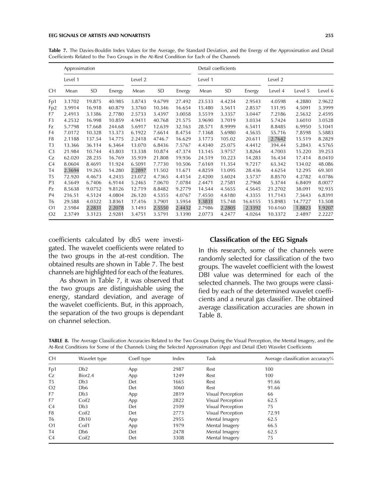#### EEG SIGNALS OF ARTISTS AND NONARTISTS 255

|                 | Approximation |           |        |         |           |        | Detail coefficients |           |         |         |         |         |  |  |
|-----------------|---------------|-----------|--------|---------|-----------|--------|---------------------|-----------|---------|---------|---------|---------|--|--|
|                 | Level 1       |           |        | Level 2 |           |        | Level 1             |           |         | Level 2 |         |         |  |  |
| СH              | Mean          | <b>SD</b> | Energy | Mean    | <b>SD</b> | Energy | Mean                | <b>SD</b> | Energy  | Level 4 | Level 5 | Level 6 |  |  |
| Fp1             | 3.1702        | 19.875    | 40.985 | 3.8743  | 9.6799    | 27.492 | 23.533              | 4.4234    | 2.9543  | 4.0598  | 4.2880  | 2.9622  |  |  |
| Fp <sub>2</sub> | 3.9914        | 16.918    | 60.879 | 3.3760  | 10.346    | 16.654 | 15.480              | 3.5611    | 2.8537  | 131.95  | 4.5091  | 3.3999  |  |  |
| F7              | 2.4913        | 3.1386    | 2.7780 | 2.5733  | 3.4397    | 3.0058 | 3.5519              | 3.3357    | 3.0447  | 7.2186  | 2.5632  | 2.4595  |  |  |
| F <sub>3</sub>  | 4.2532        | 16.998    | 10.859 | 4.9411  | 40.768    | 21.575 | 3.9690              | 3.7019    | 3.0334  | 5.7424  | 3.6010  | 3.0528  |  |  |
| Fz              | 5.7798        | 17.668    | 244.68 | 5.6917  | 12.639    | 32.163 | 28.571              | 8.9999    | 6.5411  | 8.8485  | 6.9950  | 5.1041  |  |  |
| F4              | 7.0172        | 10.328    | 13.373 | 6.1922  | 7.6614    | 8.4754 | 7.1368              | 5.6980    | 4.5635  | 55.716  | 7.8598  | 5.5883  |  |  |
| F8              | 2.1188        | 137.54    | 14.775 | 2.2418  | 4746.7    | 16.629 | 3.1773              | 105.02    | 20.611  | 2.7642  | 15.519  | 8.2829  |  |  |
| T <sub>3</sub>  | 13.366        | 36.114    | 6.3464 | 13.070  | 6.8436    | 7.5767 | 4.4340              | 25.075    | 4.4412  | 394.44  | 5.2843  | 4.5765  |  |  |
| C <sub>3</sub>  | 21.984        | 10.744    | 43.803 | 13.338  | 10.874    | 47.374 | 13.145              | 3.9757    | 3.8264  | 4.7003  | 15.220  | 39.253  |  |  |
| Cz              | 62.020        | 28.235    | 16.769 | 35.939  | 21.808    | 19.936 | 24.519              | 10.223    | 14.283  | 16.434  | 17.414  | 8.0410  |  |  |
| C4              | 8.0604        | 8.4691    | 11.924 | 6.5091  | 7.7730    | 10.506 | 7.6169              | 11.354    | 9.7217  | 63.342  | 134.02  | 48.086  |  |  |
| T4              | 2.3694        | 19.265    | 14.280 | 2.2897  | 11.502    | 11.671 | 4.8259              | 13.095    | 28.436  | 4.6254  | 12.295  | 69.301  |  |  |
| T5              | 72.920        | 4.4673    | 4.2435 | 23.072  | 4.7365    | 4.4154 | 2.4200              | 3.6024    | 3.5737  | 8.8570  | 4.2782  | 4.0786  |  |  |
| P <sub>3</sub>  | 4.5649        | 6.7406    | 6.9144 | 5.2465  | 7.0670    | 7.0784 | 2.4471              | 2.7581    | 2.7968  | 5.3744  | 6.8409  | 8.0077  |  |  |
| Pz              | 8.5638        | 9.0752    | 9.8126 | 12.719  | 8.8482    | 9.2779 | 14.544              | 4.5655    | 4.5645  | 21.2702 | 38.091  | 92.935  |  |  |
| P4              | 216.51        | 4.5124    | 4.0804 | 26.120  | 4.5355    | 4.0767 | 7.4550              | 4.6180    | 4.3355  | 11.7143 | 7.5643  | 6.8391  |  |  |
| T6              | 29.588        | 4.0322    | 3.8361 | 17.416  | 3.7901    | 3.5954 | 1.3831              | 15.748    | 16.6155 | 15.8983 | 14.7727 | 13.508  |  |  |
| O1              | 2.5984        | 2.2831    | 2.2078 | 3.1493  | 2.5550    | 2.4432 | 2.7986              | 2.2805    | 2.3392  | 10.6160 | 1.8823  | 1.9207  |  |  |
| O <sub>2</sub>  | 2.3749        | 3.3123    | 2.9281 | 3.4751  | 3.5791    | 3.1390 | 2.0773              | 4.2477    | 4.0264  | 10.3372 | 2.4897  | 2.2227  |  |  |

Table 7. The Davies-Bouldin Index Values for the Average, the Standard Deviation, and the Energy of the Approximation and Detail Coefficients Related to the Two Groups in the At-Rest Condition for Each of the Channels

coefficients calculated by db5 were investigated. The wavelet coefficients were related to the two groups in the at-rest condition. The obtained results are shown in Table 7. The best channels are highlighted for each of the features.

As shown in Table 7, it was observed that the two groups are distinguishable using the energy, standard deviation, and average of the wavelet coefficients. But, in this approach, the separation of the two groups is dependant on channel selection.

### Classification of the EEG Signals

In this research, some of the channels were randomly selected for classification of the two groups. The wavelet coefficient with the lowest DBI value was determined for each of the selected channels. The two groups were classified by each of the determined wavelet coefficients and a neural gas classifier. The obtained average classification accuracies are shown in Table 8.

| <b>CH</b>      | Wavelet type                | Coeff type | Index | Task              | Average classification accuracy% |
|----------------|-----------------------------|------------|-------|-------------------|----------------------------------|
| Fp1            | Db2                         | App        | 2987  | Rest              | 100                              |
| Cz             | Bior <sub>2.4</sub>         | App        | 1249  | Rest              | 100                              |
| T <sub>5</sub> | Db3                         | Det        | 1665  | Rest              | 91.66                            |
| O <sub>2</sub> | D <sub>b</sub> <sub>6</sub> | Det        | 3060  | Rest              | 91.66                            |
| F7             | Db3                         | App        | 2819  | Visual Perception | 66                               |
| F7             | Coif <sub>2</sub>           | App        | 2822  | Visual Perception | 62.5                             |
| C <sub>4</sub> | Db3                         | Det        | 2109  | Visual Perception | 75                               |
| F <sub>8</sub> | Coif2                       | Det        | 2773  | Visual Perception | 72.91                            |
| T <sub>6</sub> | Db10                        | App        | 2955  | Mental Imagery    | 62.5                             |
| O <sub>1</sub> | Coif1                       | App        | 1979  | Mental Imagery    | 66.5                             |
| T <sub>4</sub> | Db6                         | Det        | 2478  | Mental Imagery    | 62.5                             |
| C <sub>4</sub> | Coif2                       | Det        | 3308  | Mental Imagery    | 75                               |

TABLE 8. The Average Classification Accuracies Related to the Two Groups During the Visual Perception, the Mental Imagery, and the At-Rest Conditions for Some of the Channels Using the Selected Approximation (App) and Detail (Det) Wavelet Coefficients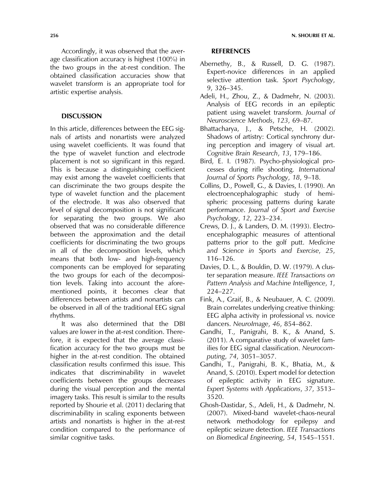Accordingly, it was observed that the average classification accuracy is highest (100%) in the two groups in the at-rest condition. The obtained classification accuracies show that wavelet transform is an appropriate tool for artistic expertise analysis.

## **DISCUSSION**

In this article, differences between the EEG signals of artists and nonartists were analyzed using wavelet coefficients. It was found that the type of wavelet function and electrode placement is not so significant in this regard. This is because a distinguishing coefficient may exist among the wavelet coefficients that can discriminate the two groups despite the type of wavelet function and the placement of the electrode. It was also observed that level of signal decomposition is not significant for separating the two groups. We also observed that was no considerable difference between the approximation and the detail coefficients for discriminating the two groups in all of the decomposition levels, which means that both low- and high-frequency components can be employed for separating the two groups for each of the decomposition levels. Taking into account the aforementioned points, it becomes clear that differences between artists and nonartists can be observed in all of the traditional EEG signal rhythms.

It was also determined that the DBI values are lower in the at-rest condition. Therefore, it is expected that the average classification accuracy for the two groups must be higher in the at-rest condition. The obtained classification results confirmed this issue. This indicates that discriminability in wavelet coefficients between the groups decreases during the visual perception and the mental imagery tasks. This result is similar to the results reported by Shourie et al. (2011) declaring that discriminability in scaling exponents between artists and nonartists is higher in the at-rest condition compared to the performance of similar cognitive tasks.

#### REFERENCES

- Abernethy, B., & Russell, D. G. (1987). Expert-novice differences in an applied selective attention task. Sport Psychology, 9, 326–345.
- Adeli, H., Zhou, Z., & Dadmehr, N. (2003). Analysis of EEG records in an epileptic patient using wavelet transform. Journal of Neuroscience Methods, 123, 69–87.
- Bhattacharya, J., & Petsche, H. (2002). Shadows of artistry: Cortical synchrony during perception and imagery of visual art. Cognitive Brain Research, 13, 179–186.
- Bird, E. I. (1987). Psycho-physiological processes during rifle shooting. International Journal of Sports Psychology, 18, 9–18.
- Collins, D., Powell, G., & Davies, I. (1990). An electroencephalographic study of hemispheric processing patterns during karate performance. Journal of Sport and Exercise Psychology, 12, 223–234.
- Crews, D. J., & Landers, D. M. (1993). Electroencephalographic measures of attentional patterns prior to the golf putt. Medicine and Science in Sports and Exercise, 25, 116–126.
- Davies, D. L., & Bouldin, D. W. (1979). A cluster separation measure. IEEE Transactions on Pattern Analysis and Machine Intelligence, 1, 224–227.
- Fink, A., Graif, B., & Neubauer, A. C. (2009). Brain correlates underlying creative thinking: EEG alpha activity in professional vs. novice dancers. Neurolmage, 46, 854-862.
- Gandhi, T., Panigrahi, B. K., & Anand, S. (2011). A comparative study of wavelet families for EEG signal classification. Neurocomputing, 74, 3051–3057.
- Gandhi, T., Panigrahi, B. K., Bhatia, M., & Anand, S. (2010). Expert model for detection of epileptic activity in EEG signature. Expert Systems with Applications, 37, 3513– 3520.
- Ghosh-Dastidar, S., Adeli, H., & Dadmehr, N. (2007). Mixed-band wavelet-chaos-neural network methodology for epilepsy and epileptic seizure detection. IEEE Transactions on Biomedical Engineering, 54, 1545–1551.